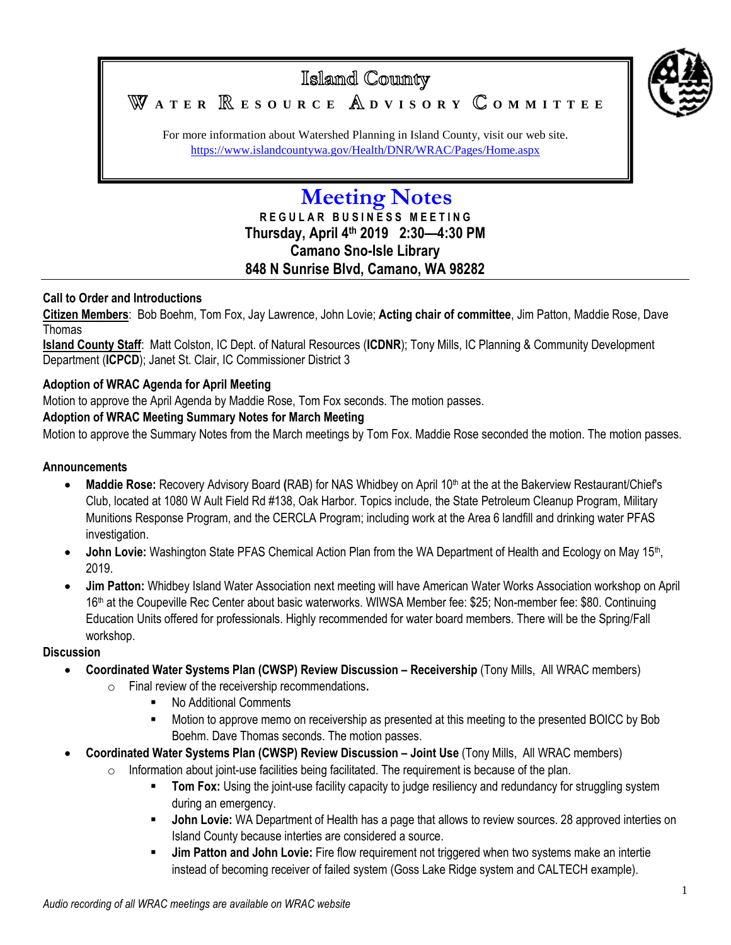

# Islamd County WATER **RESOURCE** ADVISORY COMMITTEE

For more information about Watershed Planning in Island County, visit our web site. <https://www.islandcountywa.gov/Health/DNR/WRAC/Pages/Home.aspx>

# **Meeting Notes**

**R E G U L A R B U S I N E S S M E E T I N G Thursday, April 4th 2019 2:30—4:30 PM Camano Sno-Isle Library 848 N Sunrise Blvd, Camano, WA 98282**

## **Call to Order and Introductions**

**Citizen Members**: Bob Boehm, Tom Fox, Jay Lawrence, John Lovie; **Acting chair of committee**, Jim Patton, Maddie Rose, Dave Thomas

**Island County Staff**: Matt Colston, IC Dept. of Natural Resources (**ICDNR**); Tony Mills, IC Planning & Community Development Department (**ICPCD**); Janet St. Clair, IC Commissioner District 3

## **Adoption of WRAC Agenda for April Meeting**

Motion to approve the April Agenda by Maddie Rose, Tom Fox seconds. The motion passes.

#### **Adoption of WRAC Meeting Summary Notes for March Meeting**

Motion to approve the Summary Notes from the March meetings by Tom Fox. Maddie Rose seconded the motion. The motion passes.

#### **Announcements**

- **Maddie Rose:** Recovery Advisory Board (RAB) for NAS Whidbey on April 10<sup>th</sup> at the at the Bakerview Restaurant/Chief's Club, located at 1080 W Ault Field Rd #138, Oak Harbor. Topics include, the State Petroleum Cleanup Program, Military Munitions Response Program, and the CERCLA Program; including work at the Area 6 landfill and drinking water PFAS investigation.
- John Lovie: Washington State PFAS Chemical Action Plan from the WA Department of Health and Ecology on May 15<sup>th</sup>, 2019.
- **Jim Patton:** Whidbey Island Water Association next meeting will have American Water Works Association workshop on April 16th at the Coupeville Rec Center about basic waterworks. WIWSA Member fee: \$25; Non-member fee: \$80. Continuing Education Units offered for professionals. Highly recommended for water board members. There will be the Spring/Fall workshop.

#### **Discussion**

- **Coordinated Water Systems Plan (CWSP) Review Discussion Receivership (Tony Mills, All WRAC members)** 
	- o Final review of the receivership recommendations**.**
		- No Additional Comments
		- Motion to approve memo on receivership as presented at this meeting to the presented BOICC by Bob Boehm. Dave Thomas seconds. The motion passes.
- **Coordinated Water Systems Plan (CWSP) Review Discussion – Joint Use** (Tony Mills, All WRAC members)
	- $\circ$  Information about joint-use facilities being facilitated. The requirement is because of the plan.
		- **Tom Fox:** Using the joint-use facility capacity to judge resiliency and redundancy for struggling system during an emergency.
		- **John Lovie:** WA Department of Health has a page that allows to review sources. 28 approved interties on Island County because interties are considered a source.
		- **Jim Patton and John Lovie:** Fire flow requirement not triggered when two systems make an intertie instead of becoming receiver of failed system (Goss Lake Ridge system and CALTECH example).